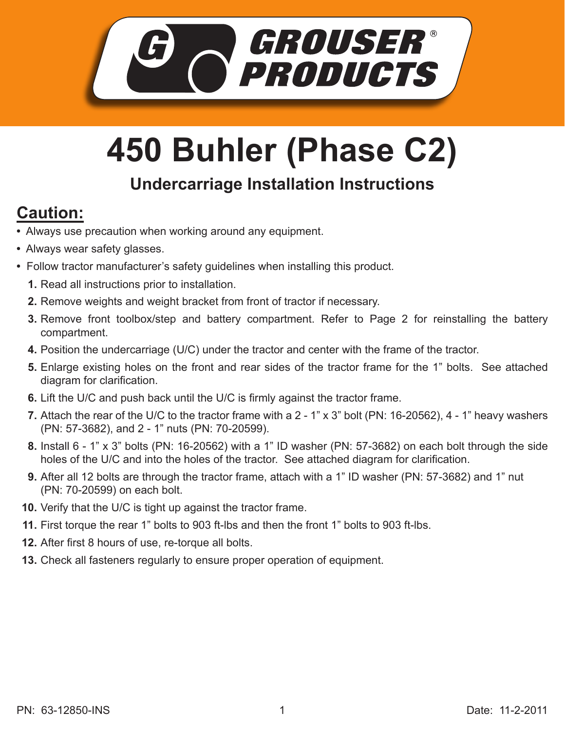

## **450 Buhler (Phase C2)**

## **Undercarriage Installation Instructions**

## **Caution:**

- Always use precaution when working around any equipment.
- Always wear safety glasses.
- Follow tractor manufacturer's safety guidelines when installing this product.
	- **1.** Read all instructions prior to installation.
	- 2. Remove weights and weight bracket from front of tractor if necessary.
	- **3.** Remove front toolbox/step and battery compartment. Refer to Page 2 for reinstalling the battery compartment.
	- **4.** Position the undercarriage (U/C) under the tractor and center with the frame of the tractor.
	- Enlarge existing holes on the front and rear sides of the tractor frame for the 1" bolts. See attached **5.** diagram for clarification.
	- **6.** Lift the U/C and push back until the U/C is firmly against the tractor frame.
	- Attach the rear of the U/C to the tractor frame with a 2 1" x 3" bolt (PN: 16-20562), 4 1" heavy washers **7.** (PN: 57-3682), and 2 - 1" nuts (PN: 70-20599).
	- Install 6 1" x 3" bolts (PN: 16-20562) with a 1" ID washer (PN: 57-3682) on each bolt through the side **8.** holes of the U/C and into the holes of the tractor. See attached diagram for clarification.
	- **9.** After all 12 bolts are through the tractor frame, attach with a 1" ID washer (PN: 57-3682) and 1" nut (PN: 70-20599) on each bolt.
	- **10.** Verify that the U/C is tight up against the tractor frame.
	- **11.** First torque the rear 1" bolts to 903 ft-lbs and then the front 1" bolts to 903 ft-lbs.
	- After first 8 hours of use, re-torque all bolts. **12.**
	- **13.** Check all fasteners regularly to ensure proper operation of equipment.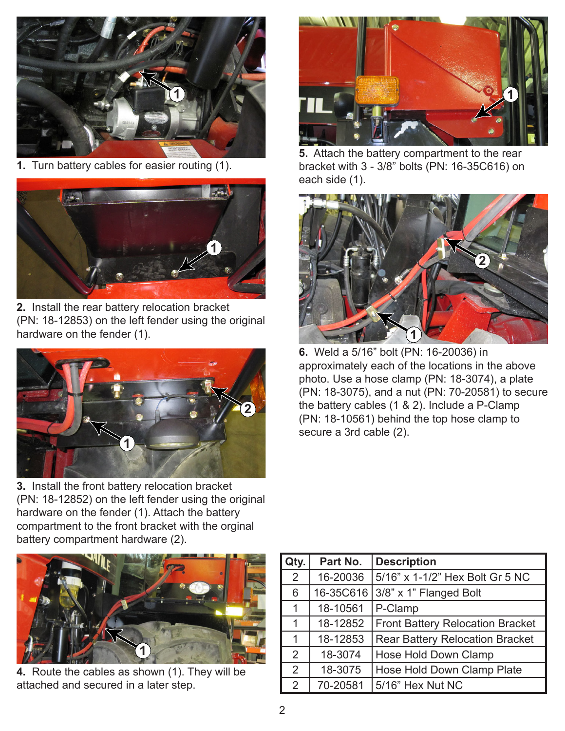

**1.** Turn battery cables for easier routing (1).



**2.** Install the rear battery relocation bracket (PN: 18-12853) on the left fender using the original hardware on the fender (1).



**3.** Install the front battery relocation bracket (PN: 18-12852) on the left fender using the original hardware on the fender (1). Attach the battery compartment to the front bracket with the orginal battery compartment hardware (2).



**5.** Attach the battery compartment to the rear bracket with 3 - 3/8" bolts (PN: 16-35C616) on each side (1).



**6.** Weld a 5/16" bolt (PN: 16-20036) in approximately each of the locations in the above photo. Use a hose clamp (PN: 18-3074), a plate (PN: 18-3075), and a nut (PN: 70-20581) to secure the battery cables (1 & 2). Include a P-Clamp (PN: 18-10561) behind the top hose clamp to secure a 3rd cable (2).



**4.** Route the cables as shown (1). They will be attached and secured in a later step.

| Qty. | Part No.  | <b>Description</b>                      |
|------|-----------|-----------------------------------------|
| 2    | 16-20036  | 5/16" x 1-1/2" Hex Bolt Gr 5 NC         |
| 6    | 16-35C616 | 3/8" x 1" Flanged Bolt                  |
| 1    | 18-10561  | P-Clamp                                 |
| 1    | 18-12852  | <b>Front Battery Relocation Bracket</b> |
| 1    | 18-12853  | <b>Rear Battery Relocation Bracket</b>  |
| 2    | 18-3074   | Hose Hold Down Clamp                    |
| 2    | 18-3075   | Hose Hold Down Clamp Plate              |
| 2    | 70-20581  | 5/16" Hex Nut NC                        |